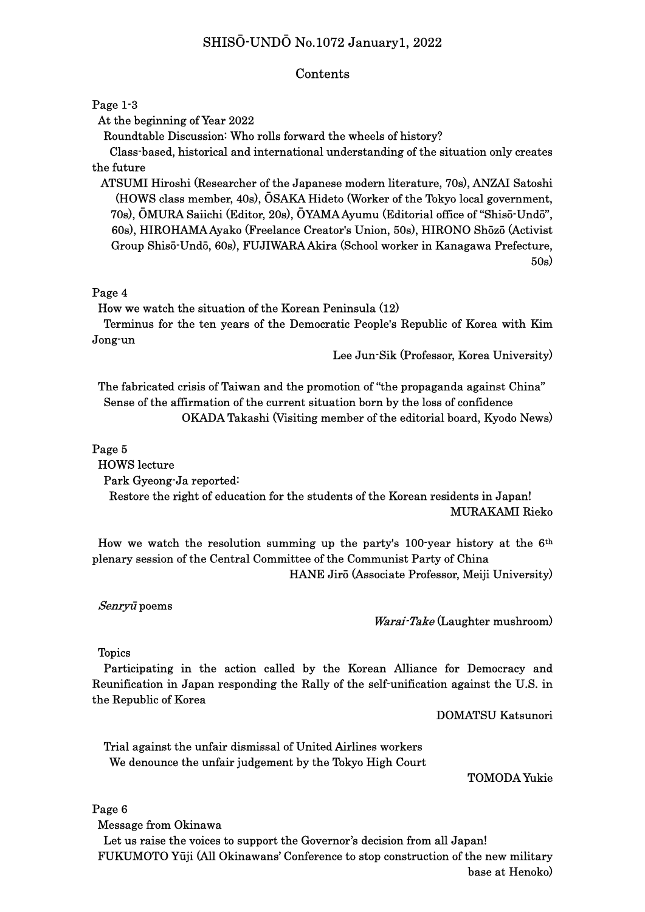# SHISŌ-UNDŌ No.1072 January1, 2022

#### Contents

#### Page 1-3

At the beginning of Year 2022

Roundtable Discussion: Who rolls forward the wheels of history?

 Class-based, historical and international understanding of the situation only creates the future

ATSUMI Hiroshi (Researcher of the Japanese modern literature, 70s), ANZAI Satoshi (HOWS class member, 40s), ŌSAKA Hideto (Worker of the Tokyo local government, 70s), ŌMURA Saiichi (Editor, 20s), ŌYAMA Ayumu (Editorial office of "Shisō-Undō", 60s), HIROHAMA Ayako (Freelance Creator's Union, 50s), HIRONO Shōzō (Activist Group Shisō-Undō, 60s), FUJIWARA Akira (School worker in Kanagawa Prefecture, 50s)

### Page 4

How we watch the situation of the Korean Peninsula (12)

 Terminus for the ten years of the Democratic People's Republic of Korea with Kim Jong-un

Lee Jun-Sik (Professor, Korea University)

 The fabricated crisis of Taiwan and the promotion of "the propaganda against China" Sense of the affirmation of the current situation born by the loss of confidence OKADA Takashi (Visiting member of the editorial board, Kyodo News)

#### Page 5

HOWS lecture

Park Gyeong-Ja reported:

 Restore the right of education for the students of the Korean residents in Japan! MURAKAMI Rieko

How we watch the resolution summing up the party's 100-year history at the  $6<sup>th</sup>$ plenary session of the Central Committee of the Communist Party of China HANE Jirō (Associate Professor, Meiji University)

Senryū poems

#### Warai-Take (Laughter mushroom)

Topics

 Participating in the action called by the Korean Alliance for Democracy and Reunification in Japan responding the Rally of the self-unification against the U.S. in the Republic of Korea

DOMATSU Katsunori

 Trial against the unfair dismissal of United Airlines workers We denounce the unfair judgement by the Tokyo High Court

TOMODA Yukie

Page 6

Message from Okinawa

 Let us raise the voices to support the Governor's decision from all Japan! FUKUMOTO Yūji (All Okinawans' Conference to stop construction of the new military base at Henoko)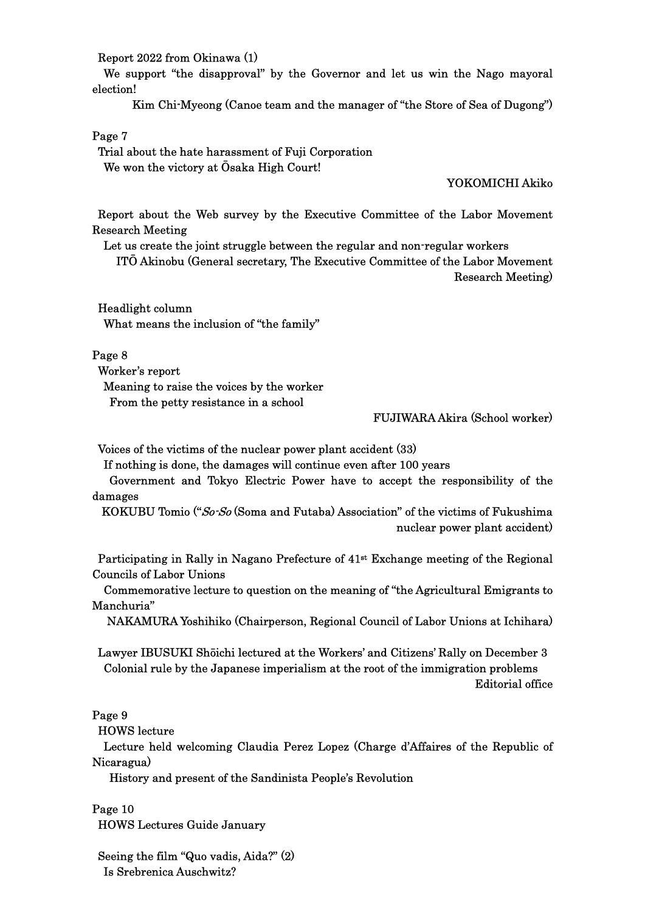Report 2022 from Okinawa (1)

 We support "the disapproval" by the Governor and let us win the Nago mayoral election!

Kim Chi-Myeong (Canoe team and the manager of "the Store of Sea of Dugong")

### Page 7

 Trial about the hate harassment of Fuji Corporation We won the victory at Ōsaka High Court!

## YOKOMICHI Akiko

Report about the Web survey by the Executive Committee of the Labor Movement Research Meeting

 Let us create the joint struggle between the regular and non-regular workers ITŌ Akinobu (General secretary, The Executive Committee of the Labor Movement Research Meeting)

 Headlight column What means the inclusion of "the family"

### Page 8

 Worker's report Meaning to raise the voices by the worker From the petty resistance in a school

# FUJIWARA Akira (School worker)

Voices of the victims of the nuclear power plant accident (33)

If nothing is done, the damages will continue even after 100 years

 Government and Tokyo Electric Power have to accept the responsibility of the damages

KOKUBU Tomio ("So-So (Soma and Futaba) Association" of the victims of Fukushima nuclear power plant accident)

Participating in Rally in Nagano Prefecture of 41st Exchange meeting of the Regional Councils of Labor Unions

Commemorative lecture to question on the meaning of "the Agricultural Emigrants to Manchuria"

NAKAMURA Yoshihiko (Chairperson, Regional Council of Labor Unions at Ichihara)

 Lawyer IBUSUKI Shōichi lectured at the Workers' and Citizens' Rally on December 3 Colonial rule by the Japanese imperialism at the root of the immigration problems Editorial office

### Page 9

HOWS lecture

 Lecture held welcoming Claudia Perez Lopez (Charge d'Affaires of the Republic of Nicaragua)

History and present of the Sandinista People's Revolution

Page 10 HOWS Lectures Guide January

Seeing the film "Quo vadis, Aida?" (2) Is Srebrenica Auschwitz?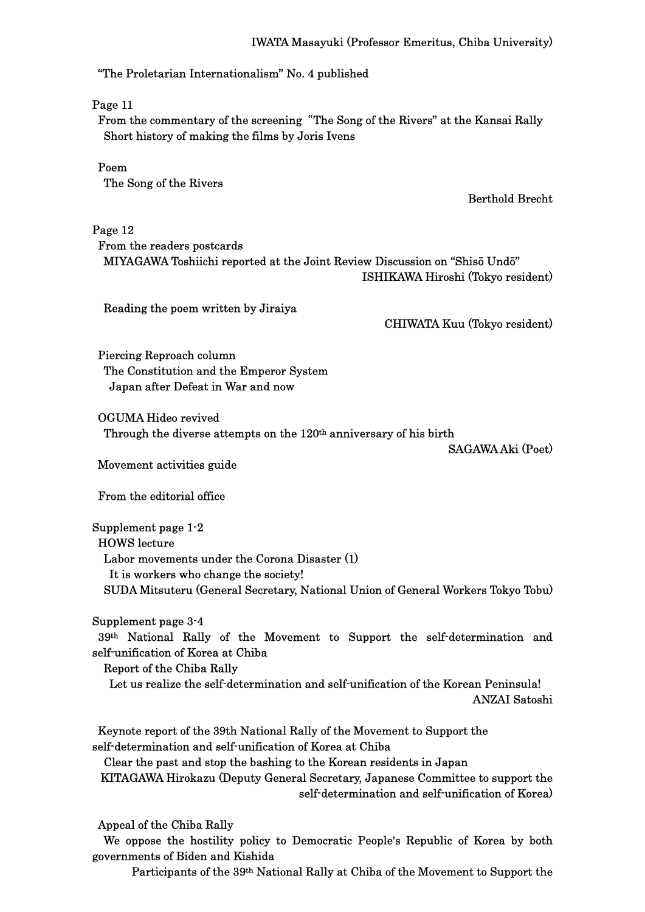# "The Proletarian Internationalism" No. 4 published

Page 11

From the commentary of the screening"The Song of the Rivers" at the Kansai Rally Short history of making the films by Joris Ivens

 Poem The Song of the Rivers

Berthold Brecht

Page 12 From the readers postcards MIYAGAWA Toshiichi reported at the Joint Review Discussion on "Shisō Undō" ISHIKAWA Hiroshi (Tokyo resident)

Reading the poem written by Jiraiya

CHIWATA Kuu (Tokyo resident)

Piercing Reproach column The Constitution and the Emperor System Japan after Defeat in War and now

 OGUMA Hideo revived Through the diverse attempts on the 120th anniversary of his birth

SAGAWA Aki (Poet)

Movement activities guide

From the editorial office

Supplement page 1-2 HOWS lecture Labor movements under the Corona Disaster (1) It is workers who change the society! SUDA Mitsuteru (General Secretary, National Union of General Workers Tokyo Tobu)

Supplement page 3-4

 39th National Rally of the Movement to Support the self-determination and self-unification of Korea at Chiba

Report of the Chiba Rally

 Let us realize the self-determination and self-unification of the Korean Peninsula! ANZAI Satoshi

Keynote report of the 39th National Rally of the Movement to Support the self-determination and self-unification of Korea at Chiba

Clear the past and stop the bashing to the Korean residents in Japan

KITAGAWA Hirokazu (Deputy General Secretary, Japanese Committee to support the self-determination and self-unification of Korea)

Appeal of the Chiba Rally

 We oppose the hostility policy to Democratic People's Republic of Korea by both governments of Biden and Kishida

Participants of the 39th National Rally at Chiba of the Movement to Support the